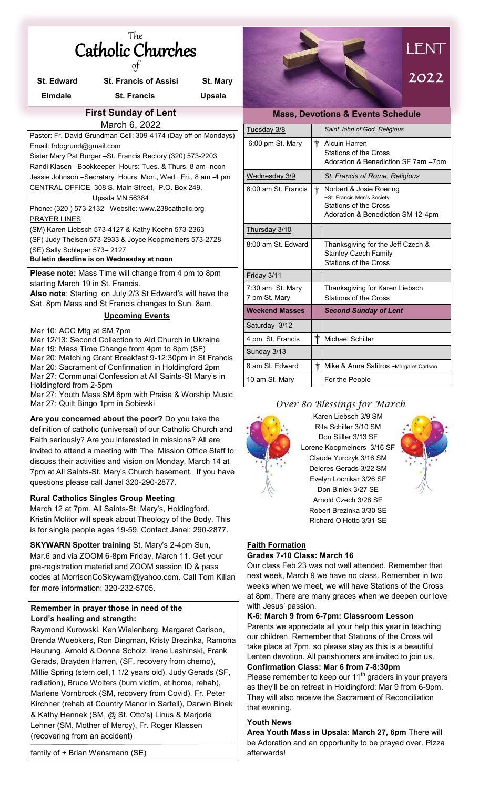| The |                          |
|-----|--------------------------|
|     | <b>Catholic Churches</b> |
|     |                          |

| <b>St. Edward</b>                                                                               | <b>St. Francis of Assisi</b>                       | St. Mary |  |  |
|-------------------------------------------------------------------------------------------------|----------------------------------------------------|----------|--|--|
| <b>Elmdale</b>                                                                                  | <b>St. Francis</b>                                 | Upsala   |  |  |
| <b>First Sunday of Lent</b>                                                                     |                                                    |          |  |  |
|                                                                                                 | March 6, 2022                                      |          |  |  |
| Pastor: Fr. David Grundman Cell: 309-4174 (Day off on Mondays)                                  |                                                    |          |  |  |
| Email: frdpgrund@gmail.com                                                                      |                                                    |          |  |  |
| Sister Mary Pat Burger - St. Francis Rectory (320) 573-2203                                     |                                                    |          |  |  |
| Randi Klasen - Bookkeeper Hours: Tues. & Thurs. 8 am - noon                                     |                                                    |          |  |  |
| Jessie Johnson – Secretary Hours: Mon., Wed., Fri., 8 am -4 pm                                  |                                                    |          |  |  |
| CENTRAL OFFICE 308 S. Main Street, P.O. Box 249,                                                |                                                    |          |  |  |
| Upsala MN 56384                                                                                 |                                                    |          |  |  |
|                                                                                                 | Phone: (320) 573-2132 Website: www.238catholic.org |          |  |  |
| <b>PRAYER LINES</b>                                                                             |                                                    |          |  |  |
| (SM) Karen Liebsch 573-4127 & Kathy Koehn 573-2363                                              |                                                    |          |  |  |
| (SF) Judy Theisen 573-2933 & Joyce Koopmeiners 573-2728                                         |                                                    |          |  |  |
| (SE) Sally Schleper 573-2127                                                                    |                                                    |          |  |  |
| Bulletin deadline is on Wednesday at noon                                                       |                                                    |          |  |  |
| <b>Please note:</b> Mass Time will change from 4 pm to 8pm<br>starting March 19 in St. Francis. |                                                    |          |  |  |
| <b>Also note:</b> Starting on July 2/3 St Edward's will have the                                |                                                    |          |  |  |

**Also note**: Starting on July 2/3 St Edward's will have the Sat. 8pm Mass and St Francis changes to Sun. 8am.

### **Upcoming Events**

Mar 10: ACC Mtg at SM 7pm

Mar 12/13: Second Collection to Aid Church in Ukraine Mar 19: Mass Time Change from 4pm to 8pm (SF) Mar 20: Matching Grant Breakfast 9-12:30pm in St Francis Mar 20: Sacrament of Confirmation in Holdingford 2pm Mar 27: Communal Confession at All Saints-St Mary's in Holdingford from 2-5pm

Mar 27: Youth Mass SM 6pm with Praise & Worship Music Mar 27: Quilt Bingo 1pm in Sobieski

**Are you concerned about the poor?** Do you take the definition of catholic (universal) of our Catholic Church and Faith seriously? Are you interested in missions? All are invited to attend a meeting with The Mission Office Staff to discuss their activities and vision on Monday, March 14 at 7pm at All Saints-St. Mary's Church basement. If you have questions please call Janel 320-290-2877.

#### **Rural Catholics Singles Group Meeting**

March 12 at 7pm, All Saints-St. Mary's, Holdingford. Kristin Molitor will speak about Theology of the Body. This is for single people ages 19-59. Contact Janel: 290-2877.

**SKYWARN Spotter training** St. Mary's 2-4pm Sun, Mar.6 and via ZOOM 6-8pm Friday, March 11. Get your pre-registration material and ZOOM session ID & pass codes at [MorrisonCoSkywarn@yahoo.com.](mailto:MorrisonCoSkywarn@yahoo.com) Call Tom Kilian for more information: 320-232-5705.

#### **Remember in prayer those in need of the Lord's healing and strength:**

Raymond Kurowski, Ken Wielenberg, Margaret Carlson, Brenda Wuebkers, Ron Dingman, Kristy Brezinka, Ramona Heurung, Arnold & Donna Scholz, Irene Lashinski, Frank Gerads, Brayden Harren, (SF, recovery from chemo), Millie Spring (stem cell,1 1/2 years old), Judy Gerads (SF, radiation), Bruce Wolters (burn victim, at home, rehab), Marlene Vornbrock (SM, recovery from Covid), Fr. Peter Kirchner (rehab at Country Manor in Sartell), Darwin Binek & Kathy Hennek (SM, @ St. Otto's**)** Linus & Marjorie Lehner (SM, Mother of Mercy), Fr. Roger Klassen (recovering from an accident)

family of + Brian Wensmann (SE)



| <b>Mass, Devotions &amp; Events Schedule</b> |            |                                                                                                                     |  |
|----------------------------------------------|------------|---------------------------------------------------------------------------------------------------------------------|--|
| Tuesday 3/8                                  |            | Saint John of God, Religious                                                                                        |  |
| 6:00 pm St. Mary                             | $\dagger$  | <b>Alcuin Harren</b><br>Stations of the Cross<br>Adoration & Benediction SF 7am -7pm                                |  |
| Wednesday 3/9                                |            | St. Francis of Rome, Religious                                                                                      |  |
| 8:00 am St. Francis                          | $^\dagger$ | Norbert & Josie Roering<br>~St. Francis Men's Society<br>Stations of the Cross<br>Adoration & Benediction SM 12-4pm |  |
| Thursday 3/10                                |            |                                                                                                                     |  |
| 8:00 am St. Fdward                           |            | Thanksgiving for the Jeff Czech &<br><b>Stanley Czech Family</b><br>Stations of the Cross                           |  |
| Friday 3/11                                  |            |                                                                                                                     |  |
| 7:30 am St. Mary<br>7 pm St. Mary            |            | Thanksgiving for Karen Liebsch<br>Stations of the Cross                                                             |  |
| <b>Weekend Masses</b>                        |            | <b>Second Sunday of Lent</b>                                                                                        |  |
| Saturday 3/12                                |            |                                                                                                                     |  |
| 4 pm St. Francis                             | $\dagger$  | <b>Michael Schiller</b>                                                                                             |  |
| Sunday 3/13                                  |            |                                                                                                                     |  |
| 8 am St. Edward                              | $^\dagger$ | Mike & Anna Salitros ~Margaret Carlson                                                                              |  |
| 10 am St. Mary                               |            | For the People                                                                                                      |  |

### *Over 80 Blessings for March*

Karen Liebsch 3/9 SM



Rita Schiller 3/10 SM Don Stiller 3/13 SF Lorene Koopmeiners 3/16 SF Claude Yurczyk 3/16 SM Delores Gerads 3/22 SM Evelyn Locnikar 3/26 SF Don Biniek 3/27 SE Arnold Czech 3/28 SE Robert Brezinka 3/30 SE Richard O'Hotto 3/31 SE



#### **Faith Formation**

#### **Grades 7-10 Class: March 16**

Our class Feb 23 was not well attended. Remember that next week, March 9 we have no class. Remember in two weeks when we meet, we will have Stations of the Cross at 8pm. There are many graces when we deepen our love with Jesus' passion.

**K-6: March 9 from 6-7pm: Classroom Lesson**  Parents we appreciate all your help this year in teaching our children. Remember that Stations of the Cross will take place at 7pm, so please stay as this is a beautiful Lenten devotion. All parishioners are invited to join us. **Confirmation Class: Mar 6 from 7-8:30pm** 

Please remember to keep our  $11<sup>th</sup>$  graders in your prayers as they'll be on retreat in Holdingford: Mar 9 from 6-9pm. They will also receive the Sacrament of Reconciliation that evening.

#### **Youth News**

**Area Youth Mass in Upsala: March 27, 6pm** There will be Adoration and an opportunity to be prayed over. Pizza afterwards!